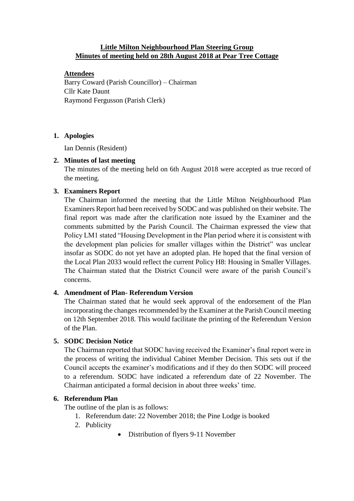## **Little Milton Neighbourhood Plan Steering Group Minutes of meeting held on 28th August 2018 at Pear Tree Cottage**

## **Attendees**

Barry Coward (Parish Councillor) – Chairman Cllr Kate Daunt Raymond Fergusson (Parish Clerk)

# **1. Apologies**

Ian Dennis (Resident)

# **2. Minutes of last meeting**

The minutes of the meeting held on 6th August 2018 were accepted as true record of the meeting.

# **3. Examiners Report**

The Chairman informed the meeting that the Little Milton Neighbourhood Plan Examiners Report had been received by SODC and was published on their website. The final report was made after the clarification note issued by the Examiner and the comments submitted by the Parish Council. The Chairman expressed the view that Policy LM1 stated "Housing Development in the Plan period where it is consistent with the development plan policies for smaller villages within the District" was unclear insofar as SODC do not yet have an adopted plan. He hoped that the final version of the Local Plan 2033 would reflect the current Policy H8: Housing in Smaller Villages. The Chairman stated that the District Council were aware of the parish Council's concerns.

# **4. Amendment of Plan- Referendum Version**

The Chairman stated that he would seek approval of the endorsement of the Plan incorporating the changes recommended by the Examiner at the Parish Council meeting on 12th September 2018. This would facilitate the printing of the Referendum Version of the Plan.

## **5. SODC Decision Notice**

The Chairman reported that SODC having received the Examiner's final report were in the process of writing the individual Cabinet Member Decision. This sets out if the Council accepts the examiner's modifications and if they do then SODC will proceed to a referendum. SODC have indicated a referendum date of 22 November. The Chairman anticipated a formal decision in about three weeks' time.

# **6. Referendum Plan**

The outline of the plan is as follows:

- 1. Referendum date: 22 November 2018; the Pine Lodge is booked
- 2. Publicity
- Distribution of flyers 9-11 November